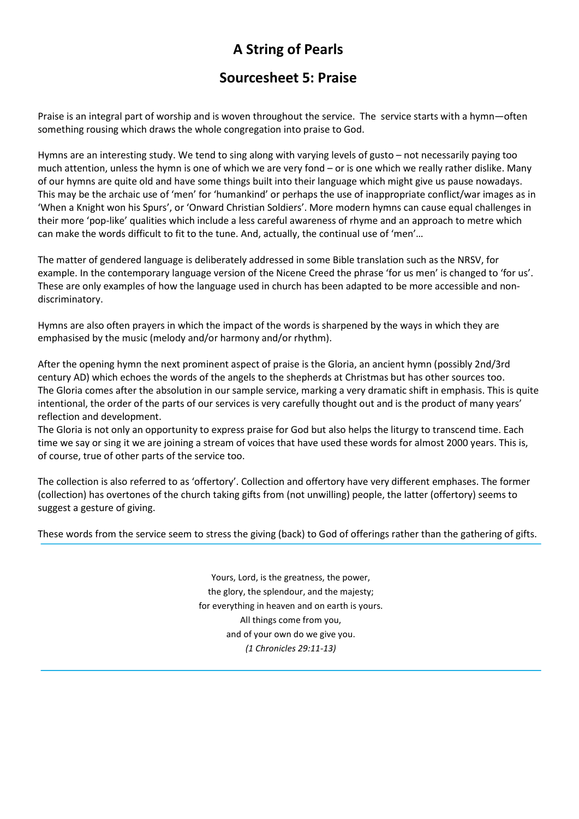# A String of Pearls

## Sourcesheet 5: Praise

Praise is an integral part of worship and is woven throughout the service. The service starts with a hymn—often something rousing which draws the whole congregation into praise to God.

Hymns are an interesting study. We tend to sing along with varying levels of gusto – not necessarily paying too much attention, unless the hymn is one of which we are very fond – or is one which we really rather dislike. Many of our hymns are quite old and have some things built into their language which might give us pause nowadays. This may be the archaic use of 'men' for 'humankind' or perhaps the use of inappropriate conflict/war images as in 'When a Knight won his Spurs', or 'Onward Christian Soldiers'. More modern hymns can cause equal challenges in their more 'pop-like' qualities which include a less careful awareness of rhyme and an approach to metre which can make the words difficult to fit to the tune. And, actually, the continual use of 'men'…

The matter of gendered language is deliberately addressed in some Bible translation such as the NRSV, for example. In the contemporary language version of the Nicene Creed the phrase 'for us men' is changed to 'for us'. These are only examples of how the language used in church has been adapted to be more accessible and nondiscriminatory.

Hymns are also often prayers in which the impact of the words is sharpened by the ways in which they are emphasised by the music (melody and/or harmony and/or rhythm).

After the opening hymn the next prominent aspect of praise is the Gloria, an ancient hymn (possibly 2nd/3rd century AD) which echoes the words of the angels to the shepherds at Christmas but has other sources too. The Gloria comes after the absolution in our sample service, marking a very dramatic shift in emphasis. This is quite intentional, the order of the parts of our services is very carefully thought out and is the product of many years' reflection and development.

The Gloria is not only an opportunity to express praise for God but also helps the liturgy to transcend time. Each time we say or sing it we are joining a stream of voices that have used these words for almost 2000 years. This is, of course, true of other parts of the service too.

The collection is also referred to as 'offertory'. Collection and offertory have very different emphases. The former (collection) has overtones of the church taking gifts from (not unwilling) people, the latter (offertory) seems to suggest a gesture of giving.

These words from the service seem to stress the giving (back) to God of offerings rather than the gathering of gifts.

Yours, Lord, is the greatness, the power, the glory, the splendour, and the majesty; for everything in heaven and on earth is yours. All things come from you, and of your own do we give you. (1 Chronicles 29:11-13)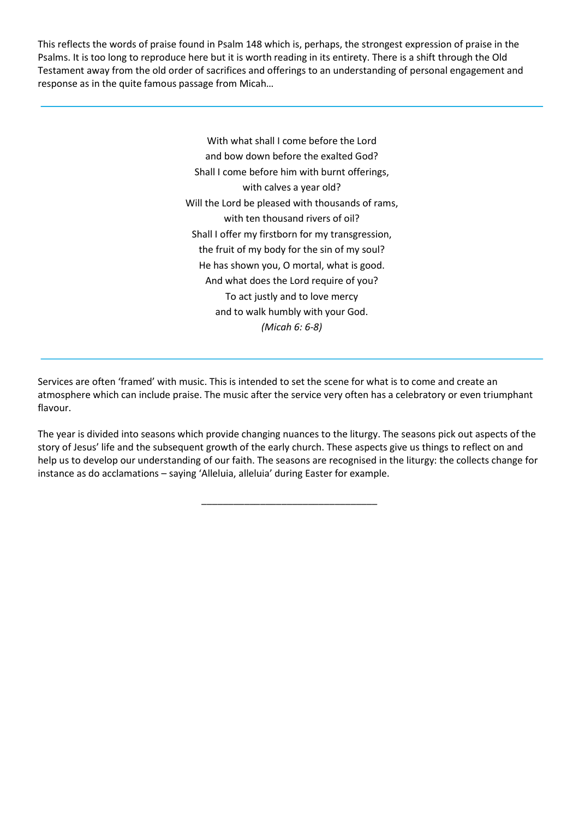This reflects the words of praise found in Psalm 148 which is, perhaps, the strongest expression of praise in the Psalms. It is too long to reproduce here but it is worth reading in its entirety. There is a shift through the Old Testament away from the old order of sacrifices and offerings to an understanding of personal engagement and response as in the quite famous passage from Micah…

> With what shall I come before the Lord and bow down before the exalted God? Shall I come before him with burnt offerings, with calves a year old? Will the Lord be pleased with thousands of rams, with ten thousand rivers of oil? Shall I offer my firstborn for my transgression, the fruit of my body for the sin of my soul? He has shown you, O mortal, what is good. And what does the Lord require of you? To act justly and to love mercy and to walk humbly with your God. (Micah 6: 6-8)

Services are often 'framed' with music. This is intended to set the scene for what is to come and create an atmosphere which can include praise. The music after the service very often has a celebratory or even triumphant flavour.

The year is divided into seasons which provide changing nuances to the liturgy. The seasons pick out aspects of the story of Jesus' life and the subsequent growth of the early church. These aspects give us things to reflect on and help us to develop our understanding of our faith. The seasons are recognised in the liturgy: the collects change for instance as do acclamations – saying 'Alleluia, alleluia' during Easter for example.

\_\_\_\_\_\_\_\_\_\_\_\_\_\_\_\_\_\_\_\_\_\_\_\_\_\_\_\_\_\_\_\_\_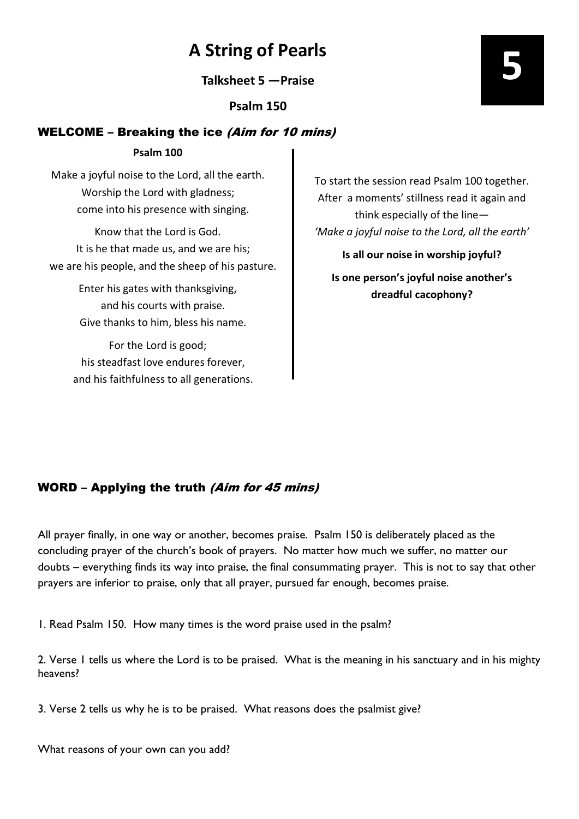# A String of Pearls

Talksheet 5 —Praise

Psalm 150

### WELCOME – Breaking the ice (Aim for 10 mins)

#### Psalm 100

Make a joyful noise to the Lord, all the earth. Worship the Lord with gladness; come into his presence with singing.

Know that the Lord is God. It is he that made us, and we are his; we are his people, and the sheep of his pasture.

> Enter his gates with thanksgiving, and his courts with praise. Give thanks to him, bless his name.

For the Lord is good; his steadfast love endures forever, and his faithfulness to all generations. To start the session read Psalm 100 together. After a moments' stillness read it again and think especially of the line— 'Make a joyful noise to the Lord, all the earth'

Is all our noise in worship joyful? Is one person's joyful noise another's dreadful cacophony?

### WORD – Applying the truth (Aim for 45 mins)

All prayer finally, in one way or another, becomes praise. Psalm 150 is deliberately placed as the concluding prayer of the church's book of prayers. No matter how much we suffer, no matter our doubts – everything finds its way into praise, the final consummating prayer. This is not to say that other prayers are inferior to praise, only that all prayer, pursued far enough, becomes praise.

1. Read Psalm 150. How many times is the word praise used in the psalm?

2. Verse 1 tells us where the Lord is to be praised. What is the meaning in his sanctuary and in his mighty heavens?

3. Verse 2 tells us why he is to be praised. What reasons does the psalmist give?

What reasons of your own can you add?